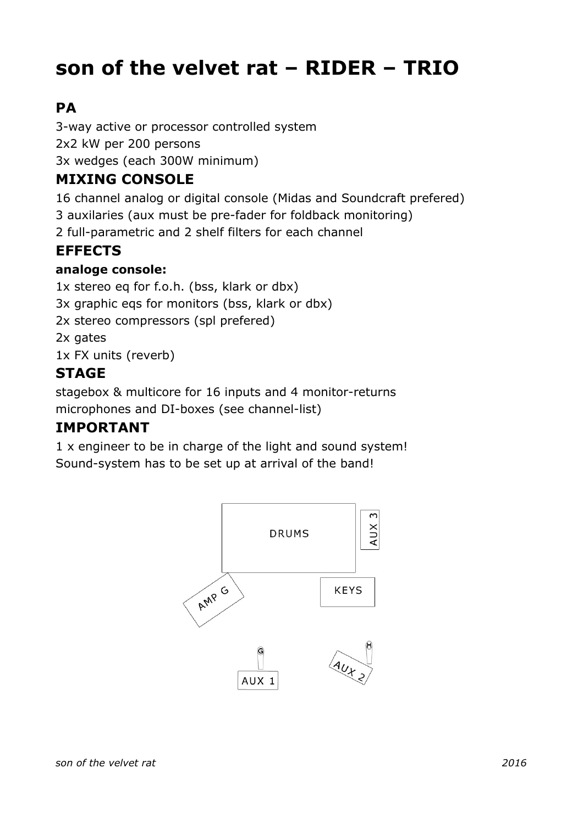# **son of the velvet rat – RIDER – TRIO**

# **PA**

3-way active or processor controlled system 2x2 kW per 200 persons 3x wedges (each 300W minimum)

## **MIXING CONSOLE**

16 channel analog or digital console (Midas and Soundcraft prefered)

3 auxilaries (aux must be pre-fader for foldback monitoring)

2 full-parametric and 2 shelf filters for each channel

# **EFFECTS**

#### **analoge console:**

1x stereo eq for f.o.h. (bss, klark or dbx) 3x graphic eqs for monitors (bss, klark or dbx) 2x stereo compressors (spl prefered) 2x gates 1x FX units (reverb)

# **STAGE**

stagebox & multicore for 16 inputs and 4 monitor-returns microphones and DI-boxes (see channel-list)

### **IMPORTANT**

1 x engineer to be in charge of the light and sound system! Sound-system has to be set up at arrival of the band!